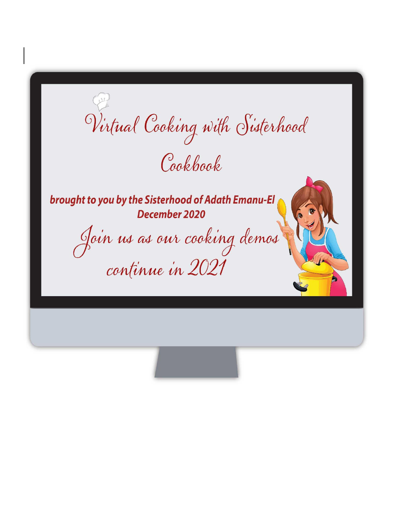Virtual Cooking with Sisterhood Cookbook

brought to you by the Sisterhood of Adath Emanu-El December 2020

Join us as our cooking demos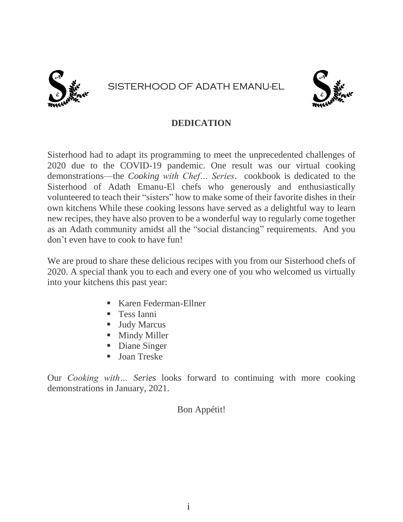

# SISTERHOOD OF ADATH EMANU-EL



#### **DEDICATION**

Sisterhood had to adapt its programming to meet the unprecedented challenges of 2020 due to the COVID-19 pandemic. One result was our virtual cooking demonstrations—the *Cooking with Chef… Series*. cookbook is dedicated to the Sisterhood of Adath Emanu-El chefs who generously and enthusiastically volunteered to teach their "sisters" how to make some of their favorite dishes in their own kitchens While these cooking lessons have served as a delightful way to learn new recipes, they have also proven to be a wonderful way to regularly come together as an Adath community amidst all the "social distancing" requirements. And you don't even have to cook to have fun!

We are proud to share these delicious recipes with you from our Sisterhood chefs of 2020. A special thank you to each and every one of you who welcomed us virtually into your kitchens this past year:

- Karen Federman-Ellner
- **Tess Ianni**
- **Judy Marcus**
- **Mindy Miller**
- Diane Singer
- **Joan Treske**

Our *Cooking with… Series* looks forward to continuing with more cooking demonstrations in January, 2021.

#### Bon Appétit!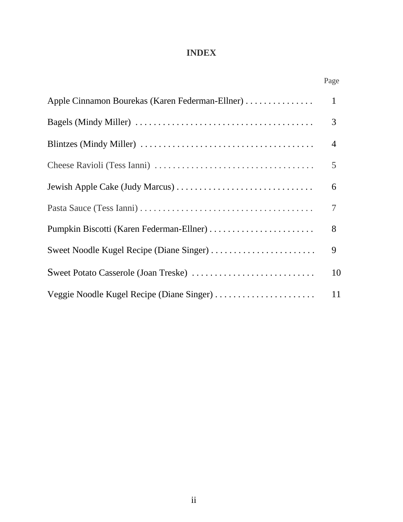# **INDEX**

|                                                 | Page |
|-------------------------------------------------|------|
| Apple Cinnamon Bourekas (Karen Federman-Ellner) | 1    |
|                                                 | 3    |
|                                                 | 4    |
|                                                 | 5    |
| Jewish Apple Cake (Judy Marcus)                 | 6    |
|                                                 | 7    |
| Pumpkin Biscotti (Karen Federman-Ellner)        | 8    |
| Sweet Noodle Kugel Recipe (Diane Singer)        | 9    |
| Sweet Potato Casserole (Joan Treske)            | 10   |
| Veggie Noodle Kugel Recipe (Diane Singer)       | 11   |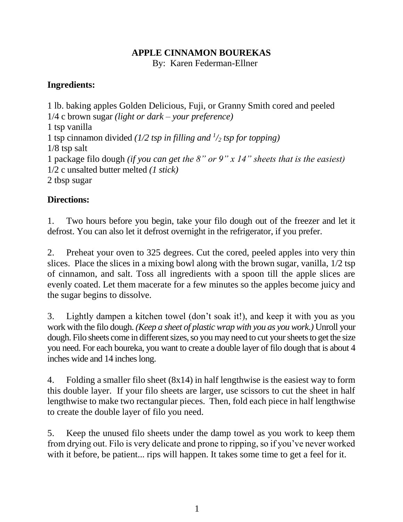## **APPLE CINNAMON BOUREKAS**

By: Karen Federman-Ellner

## **Ingredients:**

1 lb. baking apples Golden Delicious, Fuji, or Granny Smith cored and peeled 1/4 c brown sugar *(light or dark – your preference)* 1 tsp vanilla 1 tsp cinnamon divided *(1/2 tsp in filling and <sup>1</sup> /<sup>2</sup> tsp for topping)* 1/8 tsp salt 1 package filo dough *(if you can get the 8" or 9" x 14" sheets that is the easiest)* 1/2 c unsalted butter melted *(1 stick)* 2 tbsp sugar

# **Directions:**

1. Two hours before you begin, take your filo dough out of the freezer and let it defrost. You can also let it defrost overnight in the refrigerator, if you prefer.

2. Preheat your oven to 325 degrees. Cut the cored, peeled apples into very thin slices. Place the slices in a mixing bowl along with the brown sugar, vanilla, 1/2 tsp of cinnamon, and salt. Toss all ingredients with a spoon till the apple slices are evenly coated. Let them macerate for a few minutes so the apples become juicy and the sugar begins to dissolve.

3. Lightly dampen a kitchen towel (don't soak it!), and keep it with you as you work with the filo dough. *(Keep a sheet of plastic wrap with you as you work.)* Unroll your dough. Filo sheets come in different sizes, so you may need to cut your sheets to get the size you need. For each boureka, you want to create a double layer of filo dough that is about 4 inches wide and 14 inches long.

4. Folding a smaller filo sheet (8x14) in half lengthwise is the easiest way to form this double layer. If your filo sheets are larger, use scissors to cut the sheet in half lengthwise to make two rectangular pieces. Then, fold each piece in half lengthwise to create the double layer of filo you need.

5. Keep the unused filo sheets under the damp towel as you work to keep them from drying out. Filo is very delicate and prone to ripping, so if you've never worked with it before, be patient... rips will happen. It takes some time to get a feel for it.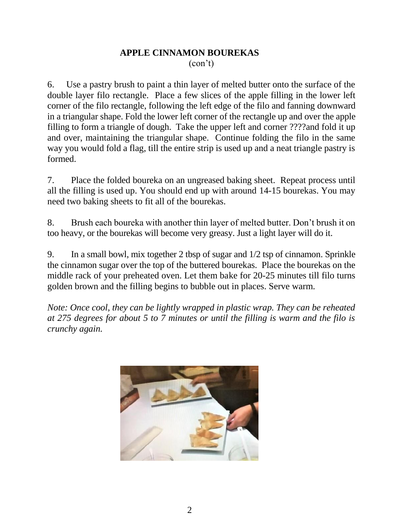#### **APPLE CINNAMON BOUREKAS** (con't)

6. Use a pastry brush to paint a thin layer of melted butter onto the surface of the double layer filo rectangle. Place a few slices of the apple filling in the lower left corner of the filo rectangle, following the left edge of the filo and fanning downward in a triangular shape. Fold the lower left corner of the rectangle up and over the apple filling to form a triangle of dough. Take the upper left and corner ????and fold it up and over, maintaining the triangular shape. Continue folding the filo in the same way you would fold a flag, till the entire strip is used up and a neat triangle pastry is formed.

7. Place the folded boureka on an ungreased baking sheet. Repeat process until all the filling is used up. You should end up with around 14-15 bourekas. You may need two baking sheets to fit all of the bourekas.

8. Brush each boureka with another thin layer of melted butter. Don't brush it on too heavy, or the bourekas will become very greasy. Just a light layer will do it.

9. In a small bowl, mix together 2 tbsp of sugar and 1/2 tsp of cinnamon. Sprinkle the cinnamon sugar over the top of the buttered bourekas. Place the bourekas on the middle rack of your preheated oven. Let them bake for 20-25 minutes till filo turns golden brown and the filling begins to bubble out in places. Serve warm.

*Note: Once cool, they can be lightly wrapped in plastic wrap. They can be reheated at 275 degrees for about 5 to 7 minutes or until the filling is warm and the filo is crunchy again.*

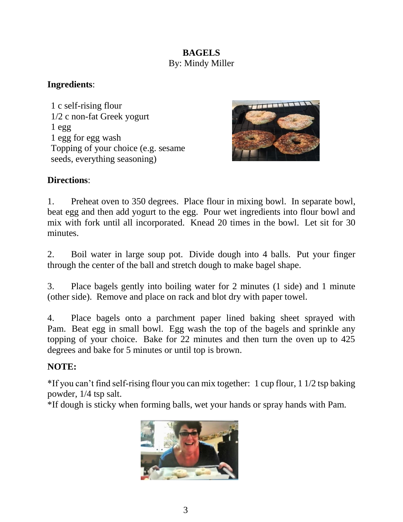## **BAGELS** By: Mindy Miller

#### **Ingredients**:

1 c self-rising flour 1/2 c non-fat Greek yogurt  $1egg$ 1 egg for egg wash Topping of your choice (e.g. sesame seeds, everything seasoning)



#### **Directions**:

1. Preheat oven to 350 degrees. Place flour in mixing bowl. In separate bowl, beat egg and then add yogurt to the egg. Pour wet ingredients into flour bowl and mix with fork until all incorporated. Knead 20 times in the bowl. Let sit for 30 minutes.

2. Boil water in large soup pot. Divide dough into 4 balls. Put your finger through the center of the ball and stretch dough to make bagel shape.

3. Place bagels gently into boiling water for 2 minutes (1 side) and 1 minute (other side). Remove and place on rack and blot dry with paper towel.

4. Place bagels onto a parchment paper lined baking sheet sprayed with Pam. Beat egg in small bowl. Egg wash the top of the bagels and sprinkle any topping of your choice. Bake for 22 minutes and then turn the oven up to 425 degrees and bake for 5 minutes or until top is brown.

#### **NOTE:**

\*If you can't find self-rising flour you can mix together: 1 cup flour, 1 1/2 tsp baking powder, 1/4 tsp salt.

\*If dough is sticky when forming balls, wet your hands or spray hands with Pam.

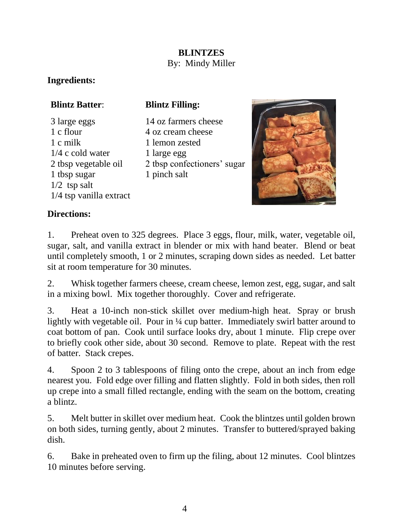#### **BLINTZES** By: Mindy Miller

## **Ingredients:**

# **Blintz Batter**:

**Blintz Filling:**

- 3 large eggs 1 c flour 1 c milk 1/4 c cold water 2 tbsp vegetable oil 1 tbsp sugar 1/2 tsp salt 1/4 tsp vanilla extract
- 14 oz farmers cheese 4 oz cream cheese 1 lemon zested 1 large egg 2 tbsp confectioners' sugar 1 pinch salt



## **Directions:**

1. Preheat oven to 325 degrees. Place 3 eggs, flour, milk, water, vegetable oil, sugar, salt, and vanilla extract in blender or mix with hand beater. Blend or beat until completely smooth, 1 or 2 minutes, scraping down sides as needed. Let batter sit at room temperature for 30 minutes.

2. Whisk together farmers cheese, cream cheese, lemon zest, egg, sugar, and salt in a mixing bowl. Mix together thoroughly. Cover and refrigerate.

3. Heat a 10-inch non-stick skillet over medium-high heat. Spray or brush lightly with vegetable oil. Pour in ¼ cup batter. Immediately swirl batter around to coat bottom of pan. Cook until surface looks dry, about 1 minute. Flip crepe over to briefly cook other side, about 30 second. Remove to plate. Repeat with the rest of batter. Stack crepes.

4. Spoon 2 to 3 tablespoons of filing onto the crepe, about an inch from edge nearest you. Fold edge over filling and flatten slightly. Fold in both sides, then roll up crepe into a small filled rectangle, ending with the seam on the bottom, creating a blintz.

5. Melt butter in skillet over medium heat. Cook the blintzes until golden brown on both sides, turning gently, about 2 minutes. Transfer to buttered/sprayed baking dish.

6. Bake in preheated oven to firm up the filing, about 12 minutes. Cool blintzes 10 minutes before serving.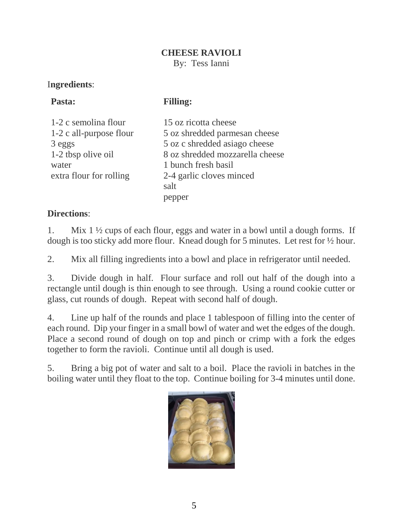#### **CHEESE RAVIOLI**

By: Tess Ianni

## I**ngredients**:

# **Pasta:**

**Filling:**

1-2 c semolina flour 1-2 c all-purpose flour 3 eggs 1-2 tbsp olive oil water extra flour for rolling

15 oz ricotta cheese 5 oz shredded parmesan cheese 5 oz c shredded asiago cheese 8 oz shredded mozzarella cheese 1 bunch fresh basil 2-4 garlic cloves minced salt pepper

# **Directions**:

1. Mix 1 ½ cups of each flour, eggs and water in a bowl until a dough forms. If dough is too sticky add more flour. Knead dough for 5 minutes. Let rest for ½ hour.

2. Mix all filling ingredients into a bowl and place in refrigerator until needed.

3. Divide dough in half. Flour surface and roll out half of the dough into a rectangle until dough is thin enough to see through. Using a round cookie cutter or glass, cut rounds of dough. Repeat with second half of dough.

4. Line up half of the rounds and place 1 tablespoon of filling into the center of each round. Dip your finger in a small bowl of water and wet the edges of the dough. Place a second round of dough on top and pinch or crimp with a fork the edges together to form the ravioli. Continue until all dough is used.

5. Bring a big pot of water and salt to a boil. Place the ravioli in batches in the boiling water until they float to the top. Continue boiling for 3-4 minutes until done.

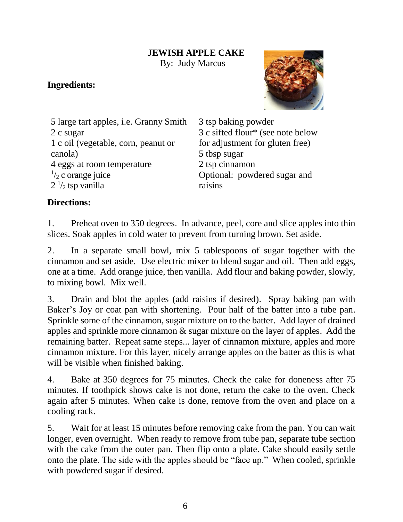#### **JEWISH APPLE CAKE**

By: Judy Marcus

## **Ingredients:**



5 large tart apples, i.e. Granny Smith 2 c sugar 1 c oil (vegetable, corn, peanut or canola) 4 eggs at room temperature  $\frac{1}{2}$  c orange juice  $2<sup>1</sup>/<sub>2</sub>$  tsp vanilla

3 tsp baking powder 3 c sifted flour\* (see note below for adjustment for gluten free) 5 tbsp sugar 2 tsp cinnamon Optional: powdered sugar and raisins

# **Directions:**

1. Preheat oven to 350 degrees. In advance, peel, core and slice apples into thin slices. Soak apples in cold water to prevent from turning brown. Set aside.

2. In a separate small bowl, mix 5 tablespoons of sugar together with the cinnamon and set aside. Use electric mixer to blend sugar and oil. Then add eggs, one at a time. Add orange juice, then vanilla. Add flour and baking powder, slowly, to mixing bowl. Mix well.

3. Drain and blot the apples (add raisins if desired). Spray baking pan with Baker's Joy or coat pan with shortening. Pour half of the batter into a tube pan. Sprinkle some of the cinnamon, sugar mixture on to the batter. Add layer of drained apples and sprinkle more cinnamon & sugar mixture on the layer of apples. Add the remaining batter. Repeat same steps... layer of cinnamon mixture, apples and more cinnamon mixture. For this layer, nicely arrange apples on the batter as this is what will be visible when finished baking.

4. Bake at 350 degrees for 75 minutes. Check the cake for doneness after 75 minutes. If toothpick shows cake is not done, return the cake to the oven. Check again after 5 minutes. When cake is done, remove from the oven and place on a cooling rack.

5. Wait for at least 15 minutes before removing cake from the pan. You can wait longer, even overnight. When ready to remove from tube pan, separate tube section with the cake from the outer pan. Then flip onto a plate. Cake should easily settle onto the plate. The side with the apples should be "face up." When cooled, sprinkle with powdered sugar if desired.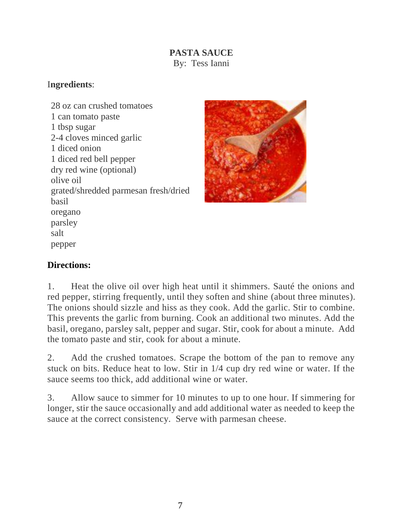## **PASTA SAUCE** By: Tess Ianni

#### I**ngredients**:

28 oz can crushed tomatoes 1 can tomato paste 1 tbsp sugar 2-4 cloves minced garlic 1 diced onion 1 diced red bell pepper dry red wine (optional) olive oil grated/shredded parmesan fresh/dried basil oregano parsley salt pepper



# **Directions:**

1. Heat the olive oil over high heat until it shimmers. Sauté the onions and red pepper, stirring frequently, until they soften and shine (about three minutes). The onions should sizzle and hiss as they cook. Add the garlic. Stir to combine. This prevents the garlic from burning. Cook an additional two minutes. Add the basil, oregano, parsley salt, pepper and sugar. Stir, cook for about a minute. Add the tomato paste and stir, cook for about a minute.

2. Add the crushed tomatoes. Scrape the bottom of the pan to remove any stuck on bits. Reduce heat to low. Stir in 1/4 cup dry red wine or water. If the sauce seems too thick, add additional wine or water.

3. Allow sauce to simmer for 10 minutes to up to one hour. If simmering for longer, stir the sauce occasionally and add additional water as needed to keep the sauce at the correct consistency. Serve with parmesan cheese.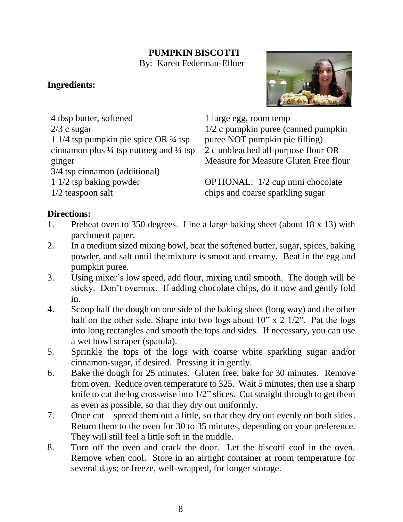# **PUMPKIN BISCOTTI**

By: Karen Federman-Ellner

## **Ingredients:**

2/3 c sugar

ginger

4 tbsp butter, softened

1 1/4 tsp pumpkin pie spice OR ¾ tsp cinnamon plus  $\frac{1}{4}$  tsp nutmeg and  $\frac{1}{4}$  tsp

3/4 tsp cinnamon (additional)

1 1/2 tsp baking powder



1 large egg, room temp 1/2 c pumpkin puree (canned pumpkin puree NOT pumpkin pie filling) 2 c unbleached all-purpose flour OR Measure for Measure Gluten Free flour

OPTIONAL: 1/2 cup mini chocolate chips and coarse sparkling sugar

# 1/2 teaspoon salt

# **Directions:**

- 1. Preheat oven to 350 degrees. Line a large baking sheet (about 18 x 13) with parchment paper.
- 2. In a medium sized mixing bowl, beat the softened butter, sugar, spices, baking powder, and salt until the mixture is smoot and creamy. Beat in the egg and pumpkin puree.
- 3. Using mixer's low speed, add flour, mixing until smooth. The dough will be sticky. Don't overmix. If adding chocolate chips, do it now and gently fold in.
- 4. Scoop half the dough on one side of the baking sheet (long way) and the other half on the other side. Shape into two logs about  $10'' \times 2 \frac{1}{2}$ . Pat the logs into long rectangles and smooth the tops and sides. If necessary, you can use a wet bowl scraper (spatula).
- 5. Sprinkle the tops of the logs with coarse white sparkling sugar and/or cinnamon-sugar, if desired. Pressing it in gently.
- 6. Bake the dough for 25 minutes. Gluten free, bake for 30 minutes. Remove from oven. Reduce oven temperature to 325. Wait 5 minutes, then use a sharp knife to cut the log crosswise into 1/2" slices. Cut straight through to get them as even as possible, so that they dry out uniformly.
- 7. Once cut spread them out a little, so that they dry out evenly on both sides. Return them to the oven for 30 to 35 minutes, depending on your preference. They will still feel a little soft in the middle.
- 8. Turn off the oven and crack the door. Let the biscotti cool in the oven. Remove when cool. Store in an airtight container at room temperature for several days; or freeze, well-wrapped, for longer storage.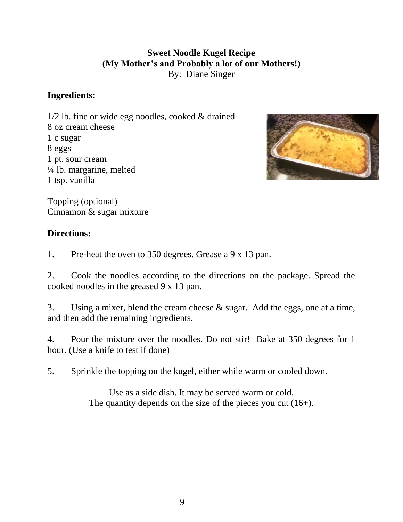## **Sweet Noodle Kugel Recipe (My Mother's and Probably a lot of our Mothers!)** By: Diane Singer

#### **Ingredients:**

1/2 lb. fine or wide egg noodles, cooked & drained 8 oz cream cheese 1 c sugar 8 eggs 1 pt. sour cream ¼ lb. margarine, melted 1 tsp. vanilla



Topping (optional) Cinnamon & sugar mixture

#### **Directions:**

1. Pre-heat the oven to 350 degrees. Grease a 9 x 13 pan.

2. Cook the noodles according to the directions on the package. Spread the cooked noodles in the greased 9 x 13 pan.

3. Using a mixer, blend the cream cheese & sugar. Add the eggs, one at a time, and then add the remaining ingredients.

4. Pour the mixture over the noodles. Do not stir! Bake at 350 degrees for 1 hour. (Use a knife to test if done)

5. Sprinkle the topping on the kugel, either while warm or cooled down.

Use as a side dish. It may be served warm or cold. The quantity depends on the size of the pieces you cut  $(16+)$ .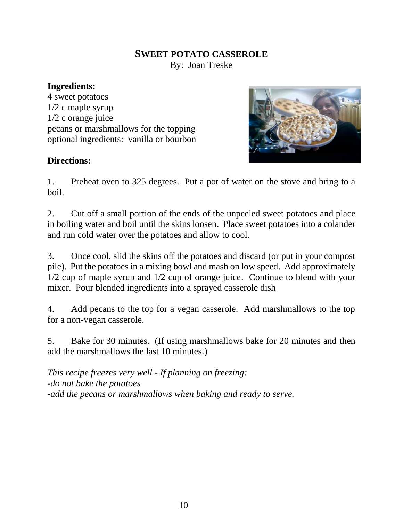#### **SWEET POTATO CASSEROLE** By: Joan Treske

#### **Ingredients:**

4 sweet potatoes 1/2 c maple syrup 1/2 c orange juice pecans or marshmallows for the topping optional ingredients: vanilla or bourbon



#### **Directions:**

1. Preheat oven to 325 degrees. Put a pot of water on the stove and bring to a boil.

2. Cut off a small portion of the ends of the unpeeled sweet potatoes and place in boiling water and boil until the skins loosen. Place sweet potatoes into a colander and run cold water over the potatoes and allow to cool.

3. Once cool, slid the skins off the potatoes and discard (or put in your compost pile). Put the potatoes in a mixing bowl and mash on low speed. Add approximately 1/2 cup of maple syrup and 1/2 cup of orange juice. Continue to blend with your mixer. Pour blended ingredients into a sprayed casserole dish

4. Add pecans to the top for a vegan casserole. Add marshmallows to the top for a non-vegan casserole.

5. Bake for 30 minutes. (If using marshmallows bake for 20 minutes and then add the marshmallows the last 10 minutes.)

*This recipe freezes very well - If planning on freezing: -do not bake the potatoes -add the pecans or marshmallows when baking and ready to serve.*